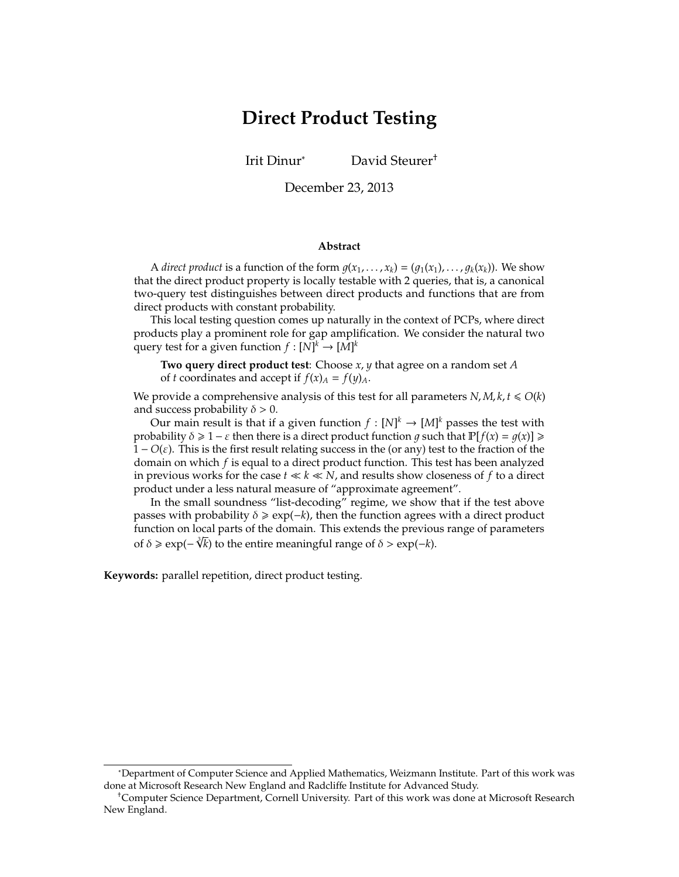# **Direct Product Testing**

Irit Dinur<sup>∗</sup> David Steurer†

December 23, 2013

#### **Abstract**

A *direct product* is a function of the form  $g(x_1, \ldots, x_k) = (g_1(x_1), \ldots, g_k(x_k))$ . We show that the direct product property is locally testable with 2 queries, that is, a canonical two-query test distinguishes between direct products and functions that are from direct products with constant probability.

This local testing question comes up naturally in the context of PCPs, where direct products play a prominent role for gap amplification. We consider the natural two query test for a given function  $f : [N]^k \to [M]^k$ 

**Two query direct product test**: Choose *x*, *y* that agree on a random set *A* of *t* coordinates and accept if  $f(x) = f(y)$ .

We provide a comprehensive analysis of this test for all parameters  $N$ ,  $M$ ,  $k$ ,  $t \le O(k)$ and success probability  $\delta > 0$ .

Our main result is that if a given function  $f : [N]^k \to [M]^k$  passes the test with probability  $\delta \geq 1 - \varepsilon$  then there is a direct product function *g* such that  $\mathbb{P}[f(x) = g(x)] \geq$ 1 − *O*(ε). This is the first result relating success in the (or any) test to the fraction of the domain on which *f* is equal to a direct product function. This test has been analyzed in previous works for the case  $t \ll k \ll N$ , and results show closeness of f to a direct product under a less natural measure of "approximate agreement".

In the small soundness "list-decoding" regime, we show that if the test above passes with probability  $\delta \geq \exp(-k)$ , then the function agrees with a direct product function on local parts of the domain. This extends the previous range of parameters  $\frac{3\sqrt{3}}{2}$ of  $\delta \geqslant \exp(-\sqrt[3]{k})$  to the entire meaningful range of  $\delta > \exp(-k)$ .

**Keywords:** parallel repetition, direct product testing.

<sup>∗</sup>Department of Computer Science and Applied Mathematics, Weizmann Institute. Part of this work was done at Microsoft Research New England and Radcliffe Institute for Advanced Study.

<sup>†</sup>Computer Science Department, Cornell University. Part of this work was done at Microsoft Research New England.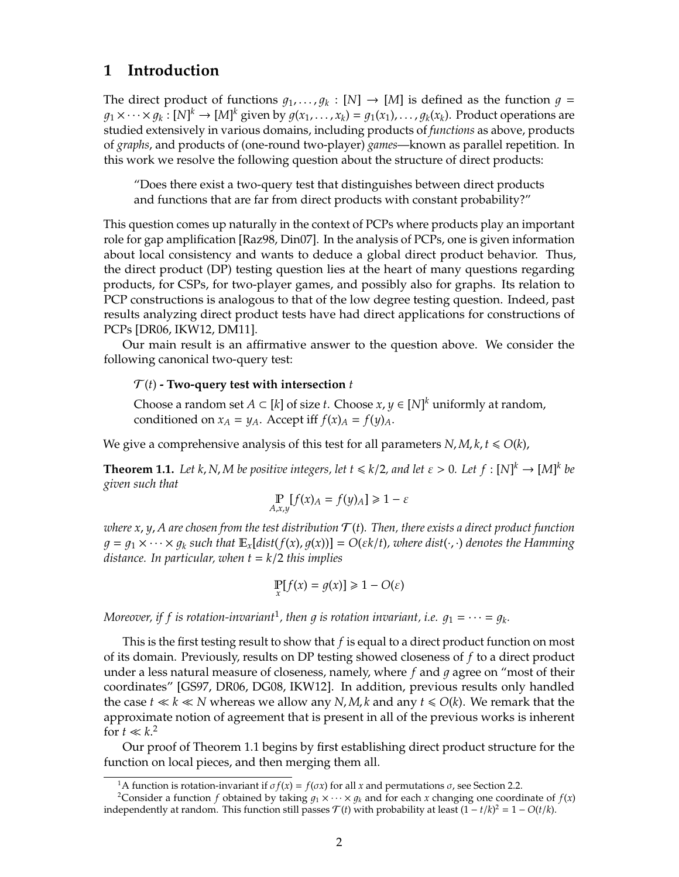# <span id="page-1-3"></span>**1 Introduction**

The direct product of functions  $g_1, \ldots, g_k : [N] \rightarrow [M]$  is defined as the function  $g =$  $g_1 \times \cdots \times g_k : [N]^k \to [M]^k$  given by  $g(x_1, \ldots, x_k) = g_1(x_1), \ldots, g_k(x_k)$ . Product operations are studied extensively in various domains, including products of *functions* as above, products of *graphs*, and products of (one-round two-player) *games*—known as parallel repetition. In this work we resolve the following question about the structure of direct products:

"Does there exist a two-query test that distinguishes between direct products and functions that are far from direct products with constant probability?"

This question comes up naturally in the context of PCPs where products play an important role for gap amplification [\[Raz98,](#page-11-0) [Din07\]](#page-10-0). In the analysis of PCPs, one is given information about local consistency and wants to deduce a global direct product behavior. Thus, the direct product (DP) testing question lies at the heart of many questions regarding products, for CSPs, for two-player games, and possibly also for graphs. Its relation to PCP constructions is analogous to that of the low degree testing question. Indeed, past results analyzing direct product tests have had direct applications for constructions of PCPs [\[DR06,](#page-10-1) [IKW12,](#page-11-1) [DM11\]](#page-10-2).

Our main result is an affirmative answer to the question above. We consider the following canonical two-query test:

#### $\mathcal{T}(t)$  **- Two-query test with intersection**  $t$

Choose a random set  $A \subset [k]$  of size *t*. Choose  $x, y \in [N]^k$  uniformly at random, conditioned on  $x_A = y_A$ . Accept iff  $f(x)_A = f(y)_A$ .

We give a comprehensive analysis of this test for all parameters  $N$ ,  $M$ ,  $k$ ,  $t \le O(k)$ ,

<span id="page-1-2"></span>**Theorem 1.1.** Let *k*, *N*, *M be positive integers, let*  $t \le k/2$ , and let  $\varepsilon > 0$ . Let  $f : [N]^k \to [M]^k$  be *given such that*

$$
\mathop{\mathbb{P}}_{A,x,y}[f(x)_A = f(y)_A] \ge 1 - \varepsilon
$$

*where*  $x$ ,  $y$ ,  $A$  are chosen from the test distribution  $\mathcal{T}(t)$ . Then, there exists a direct product function  $q = q_1 \times \cdots \times q_k$  such that  $\mathbb{E}_x[dist(f(x), g(x))] = O(\varepsilon k/t)$ , where  $dist(\cdot, \cdot)$  denotes the Hamming *distance. In particular, when t* = *k*/2 *this implies*

$$
\Pr_x[f(x) = g(x)] \ge 1 - O(\varepsilon)
$$

Moreover, if f is rotation-invariant<sup>[1](#page-1-0)</sup>, then g is rotation invariant, i.e.  $g_1 = \cdots = g_k$ .

This is the first testing result to show that *f* is equal to a direct product function on most of its domain. Previously, results on DP testing showed closeness of *f* to a direct product under a less natural measure of closeness, namely, where f and q agree on "most of their coordinates" [\[GS97,](#page-11-2) [DR06,](#page-10-1) [DG08,](#page-10-3) [IKW12\]](#page-11-1). In addition, previous results only handled the case  $t \ll k \ll N$  whereas we allow any *N*, *M*, *k* and any  $t \le O(k)$ . We remark that the approximate notion of agreement that is present in all of the previous works is inherent for  $t \ll k$ <sup>[2](#page-1-1)</sup>

Our proof of [Theorem 1.1](#page-1-2) begins by first establishing direct product structure for the function on local pieces, and then merging them all.

<span id="page-1-1"></span><span id="page-1-0"></span><sup>&</sup>lt;sup>1</sup>A function is rotation-invariant if  $\sigma f(x) = f(\sigma x)$  for all *x* and permutations  $\sigma$ , see [Section 2.2.](#page-4-0)

<sup>&</sup>lt;sup>2</sup>Consider a function *f* obtained by taking  $g_1 \times \cdots \times g_k$  and for each *x* changing one coordinate of  $f(x)$ independently at random. This function still passes  $\mathcal{T}(t)$  with probability at least  $(1 - t/k)^2 = 1 - O(t/k)$ .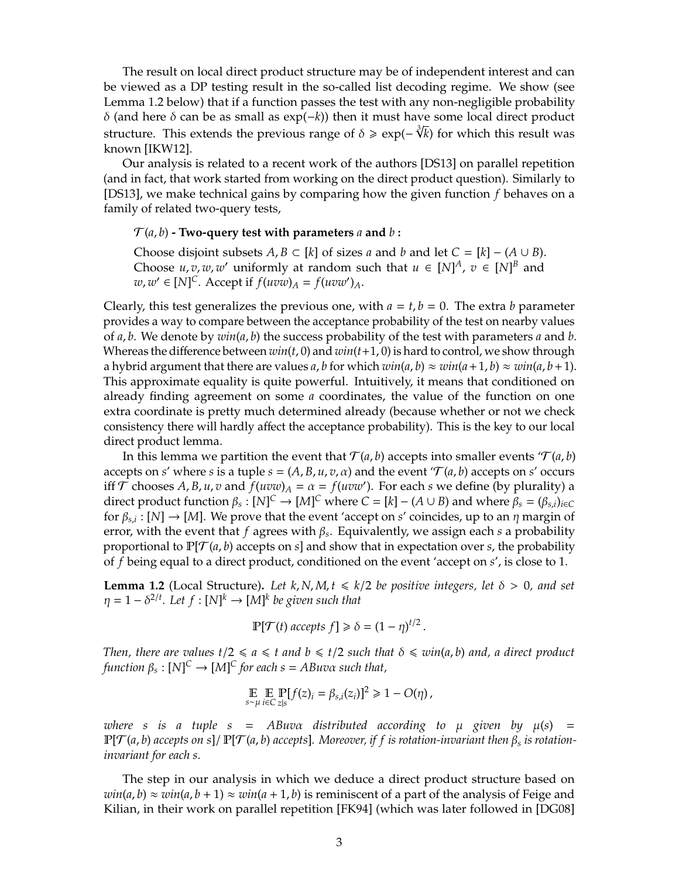<span id="page-2-1"></span>The result on local direct product structure may be of independent interest and can be viewed as a DP testing result in the so-called list decoding regime. We show (see [Lemma 1.2](#page-2-0) below) that if a function passes the test with any non-negligible probability  $δ$  (and here  $δ$  can be as small as exp(−*k*)) then it must have some local direct product structure. This extends the previous range of δ > exp(− *k*) for which this result was known [\[IKW12\]](#page-11-1).

Our analysis is related to a recent work of the authors [\[DS13\]](#page-10-4) on parallel repetition (and in fact, that work started from working on the direct product question). Similarly to [\[DS13\]](#page-10-4), we make technical gains by comparing how the given function *f* behaves on a family of related two-query tests,

#### $\mathcal{T}(a, b)$  **- Two-query test with parameters** a and b:

Choose disjoint subsets  $A, B \subset [k]$  of sizes *a* and *b* and let  $C = [k] - (A \cup B)$ . Choose  $u, v, w, w'$  uniformly at random such that  $u \in [N]^A$ ,  $v \in [N]^B$  and  $w, w' \in [N]^C$ . Accept if  $f(uvw)_A = f(uvw')_A$ .

Clearly, this test generalizes the previous one, with  $a = t$ ,  $b = 0$ . The extra *b* parameter provides a way to compare between the acceptance probability of the test on nearby values of *a*, *b*. We denote by *win*(*a*, *b*) the success probability of the test with parameters *a* and *b*. Whereas the difference between *win*(*t*, 0) and *win*(*t*+1, 0) is hard to control, we show through a hybrid argument that there are values *a*, *b* for which  $win(a, b) \approx win(a+1, b) \approx win(a, b+1)$ . This approximate equality is quite powerful. Intuitively, it means that conditioned on already finding agreement on some *a* coordinates, the value of the function on one extra coordinate is pretty much determined already (because whether or not we check consistency there will hardly affect the acceptance probability). This is the key to our local direct product lemma.

In this lemma we partition the event that  $\mathcal{T}(a, b)$  accepts into smaller events ' $\mathcal{T}(a, b)$ ' accepts on *s'* where *s* is a tuple  $s = (A, B, u, v, \alpha)$  and the event ' $\mathcal{T}(a, b)$  accepts on *s'* occurs iff  $\mathcal{T}$  chooses A, B, u, v and  $f(uvw)_A = \alpha = f(uvw')$ . For each *s* we define (by plurality) a direct product function  $\beta_s : [N]^C \to [M]^C$  where  $C = [k] - (A \cup B)$  and where  $\beta_s = (\beta_{s,i})_{i \in C}$ for  $\beta_{s,i}: [N] \to [M]$ . We prove that the event 'accept on *s'* coincides, up to an  $\eta$  margin of error, with the event that *f* agrees with β*<sup>s</sup>* . Equivalently, we assign each *s* a probability proportional to  $\mathbb{P}[\mathcal{T}(a, b)$  accepts on *s*] and show that in expectation over *s*, the probability of *f* being equal to a direct product, conditioned on the event 'accept on *s*', is close to 1.

<span id="page-2-0"></span>**Lemma 1.2** (Local Structure). Let  $k$ ,  $N$ ,  $M$ ,  $t \le k/2$  *be positive integers, let*  $\delta > 0$ , and set  $\eta = 1 - \delta^{2/t}$ *. Let*  $f : [N]^k \to [M]^k$  be given such that

$$
\mathbb{P}[\mathcal{T}(t) \text{ accepts } f] \geq \delta = (1 - \eta)^{t/2}.
$$

*Then, there are values*  $t/2 \le a \le t$  *and*  $b \le t/2$  *such that*  $\delta \le win(a, b)$  *and, a direct product*  $f$ *unction*  $\beta_s : [N]^C \to [M]^C$  for each  $s = ABuv\alpha$  such that,

$$
\mathop{\mathbb{E}}_{s \sim \mu} \mathop{\mathbb{E}}_{i \in C} \mathop{\mathbb{P}}_{z|s} [f(z)_i = \beta_{s,i}(z_i)]^2 \geq 1 - O(\eta),
$$

*where s is a tuple s* = *ABuva distributed according to*  $\mu$  *given by*  $\mu(s)$  =  $\mathbb{P}[\mathcal{T}(a,b)$  accepts on s]/  $\mathbb{P}[\mathcal{T}(a,b)$  accepts]. Moreover, if  $f$  is rotation-invariant then  $\beta_s$  is rotation*invariant for each s.*

The step in our analysis in which we deduce a direct product structure based on  $win(a, b) \approx win(a, b + 1) \approx win(a + 1, b)$  is reminiscent of a part of the analysis of Feige and Kilian, in their work on parallel repetition [\[FK94\]](#page-10-5) (which was later followed in [\[DG08\]](#page-10-3)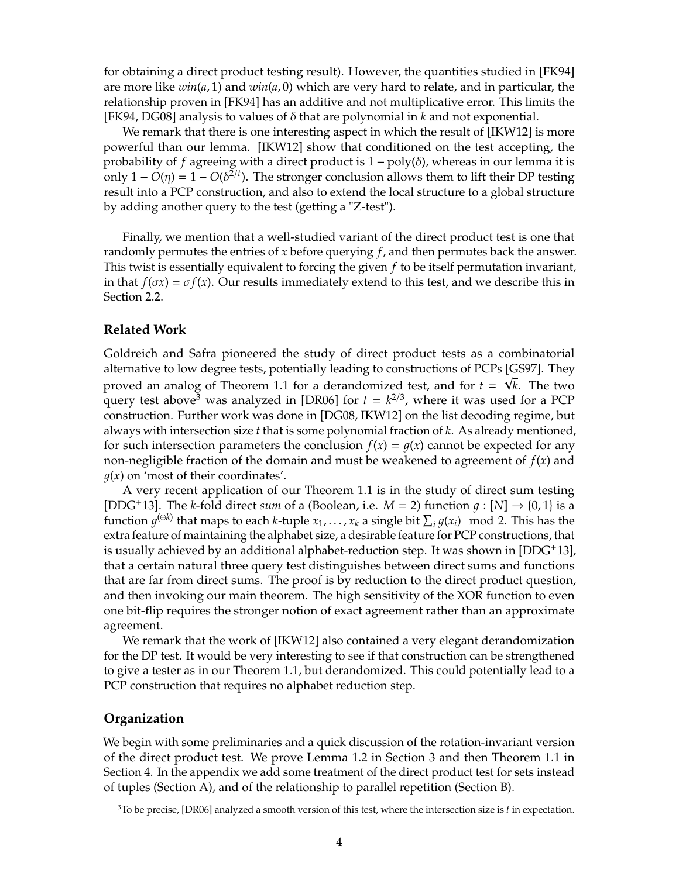<span id="page-3-1"></span>for obtaining a direct product testing result). However, the quantities studied in [\[FK94\]](#page-10-5) are more like *win*(*a*, 1) and *win*(*a*, 0) which are very hard to relate, and in particular, the relationship proven in [\[FK94\]](#page-10-5) has an additive and not multiplicative error. This limits the [\[FK94,](#page-10-5) [DG08\]](#page-10-3) analysis to values of δ that are polynomial in *k* and not exponential.

We remark that there is one interesting aspect in which the result of [\[IKW12\]](#page-11-1) is more powerful than our lemma. [\[IKW12\]](#page-11-1) show that conditioned on the test accepting, the probability of *f* agreeing with a direct product is 1 − poly(δ), whereas in our lemma it is only  $1 - O(\eta) = 1 - O(\delta^{2/t})$ . The stronger conclusion allows them to lift their DP testing result into a PCP construction, and also to extend the local structure to a global structure by adding another query to the test (getting a "Z-test").

Finally, we mention that a well-studied variant of the direct product test is one that randomly permutes the entries of *x* before querying *f*, and then permutes back the answer. This twist is essentially equivalent to forcing the given *f* to be itself permutation invariant, in that  $f(\sigma x) = \sigma f(x)$ . Our results immediately extend to this test, and we describe this in [Section 2.2.](#page-4-0)

### **Related Work**

Goldreich and Safra pioneered the study of direct product tests as a combinatorial alternative to low degree tests, potentially leading to constructions of PCPs [\[GS97\]](#page-11-2). They √ proved an analog of [Theorem 1.1](#page-1-2) for a derandomized test, and for  $t = \sqrt{k}$ . The two query test above<sup>[3](#page-3-0)</sup> was analyzed in [\[DR06\]](#page-10-1) for  $t = k^{2/3}$ , where it was used for a PCP construction. Further work was done in [\[DG08,](#page-10-3) [IKW12\]](#page-11-1) on the list decoding regime, but always with intersection size *t* that is some polynomial fraction of *k*. As already mentioned, for such intersection parameters the conclusion  $f(x) = g(x)$  cannot be expected for any non-negligible fraction of the domain and must be weakened to agreement of *f*(*x*) and  $q(x)$  on 'most of their coordinates'.

A very recent application of our [Theorem 1.1](#page-1-2) is in the study of direct sum testing [\[DDG](#page-10-6)<sup>+</sup>13]. The *k*-fold direct *sum* of a (Boolean, i.e.  $M = 2$ ) function  $q : [N] \rightarrow \{0, 1\}$  is a function  $g^{(\oplus k)}$  that maps to each *k*-tuple  $x_1, \ldots, x_k$  a single bit  $\sum_i g(x_i) \mod 2$ . This has the extra feature of maintaining the alphabet size, a desirable feature for PCP constructions, that is usually achieved by an additional alphabet-reduction step. It was shown in  $[DDG^+13]$  $[DDG^+13]$ , that a certain natural three query test distinguishes between direct sums and functions that are far from direct sums. The proof is by reduction to the direct product question, and then invoking our main theorem. The high sensitivity of the XOR function to even one bit-flip requires the stronger notion of exact agreement rather than an approximate agreement.

We remark that the work of [\[IKW12\]](#page-11-1) also contained a very elegant derandomization for the DP test. It would be very interesting to see if that construction can be strengthened to give a tester as in our [Theorem 1.1,](#page-1-2) but derandomized. This could potentially lead to a PCP construction that requires no alphabet reduction step.

#### **Organization**

We begin with some preliminaries and a quick discussion of the rotation-invariant version of the direct product test. We prove [Lemma 1.2](#page-2-0) in [Section 3](#page-5-0) and then [Theorem 1.1](#page-1-2) in [Section 4.](#page-8-0) In the appendix we add some treatment of the direct product test for sets instead of tuples [\(Section A\)](#page-11-3), and of the relationship to parallel repetition [\(Section B\)](#page-12-0).

<span id="page-3-0"></span><sup>3</sup>To be precise, [\[DR06\]](#page-10-1) analyzed a smooth version of this test, where the intersection size is *t* in expectation.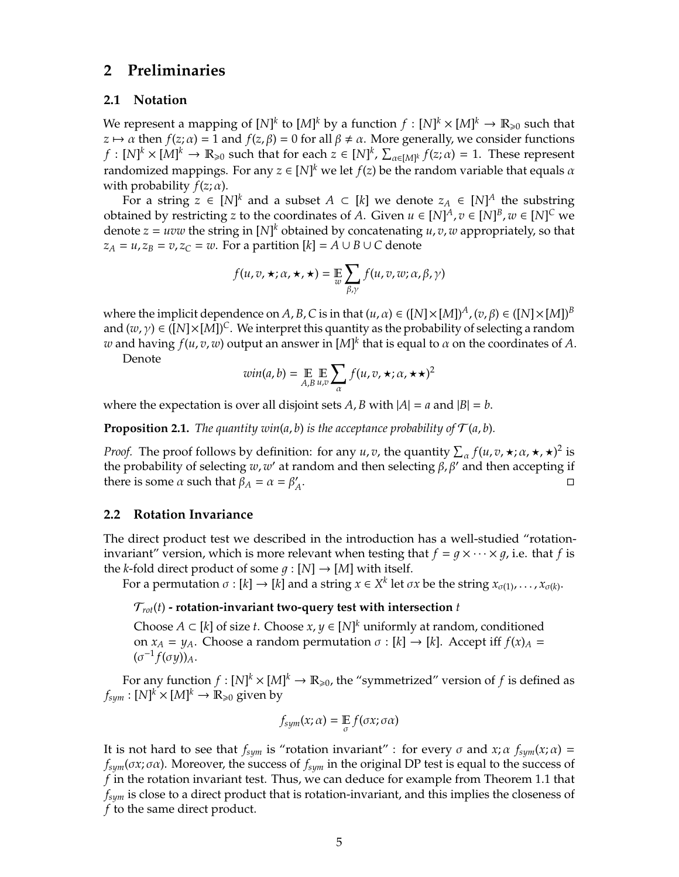### **2 Preliminaries**

#### **2.1 Notation**

We represent a mapping of  $[N]^k$  to  $[M]^k$  by a function  $f: [N]^k \times [M]^k \to \mathbb{R}_{\geqslant 0}$  such that  $z \mapsto \alpha$  then  $f(z; \alpha) = 1$  and  $f(z, \beta) = 0$  for all  $\beta \neq \alpha$ . More generally, we consider functions  $f: [N]^k \times [M]^k \to \mathbb{R}_{\geqslant 0}$  such that for each  $z \in [N]^k$ ,  $\sum_{\alpha \in [M]^k} f(z; \alpha) = 1$ . These represent randomized mappings. For any  $z \in [N]^k$  we let  $f(z)$  be the random variable that equals  $\alpha$ with probability  $f(z; \alpha)$ .

For a string  $z \in [N]^k$  and a subset  $A \subset [k]$  we denote  $z_A \in [N]^A$  the substring obtained by restricting *z* to the coordinates of *A*. Given  $u \in [N]^A$ ,  $v \in [N]^B$ ,  $w \in [N]^C$  we denote  $z = uvw$  the string in  $[N]^k$  obtained by concatenating  $u, v, w$  appropriately, so that  $z_A = u$ ,  $z_B = v$ ,  $z_C = w$ . For a partition  $[k] = A \cup B \cup C$  denote

$$
f(u,v,\star;\alpha,\star,\star)=\mathop{\mathbb{E}}_{w}\sum_{\beta,\gamma}f(u,v,w;\alpha,\beta,\gamma)
$$

where the implicit dependence on *A*, *B*, *C* is in that  $(u, \alpha) \in ([N] \times [M])^A$ ,  $(v, \beta) \in ([N] \times [M])^B$ and  $(w, \gamma) \in ([N] \times [M])^C$ . We interpret this quantity as the probability of selecting a random  $w$  and having  $f(u,v,w)$  output an answer in  $[M]^k$  that is equal to  $\alpha$  on the coordinates of  $A.$ 

Denote

$$
win(a, b) = \mathop{\mathbb{E}}_{A, B} \mathop{\mathbb{E}}_{u, v} \sum_{\alpha} f(u, v, \star; \alpha, \star \star)^2
$$

where the expectation is over all disjoint sets *A*, *B* with  $|A| = a$  and  $|B| = b$ .

**Proposition 2.1.** *The quantity win(a, b) is the acceptance probability of*  $\mathcal{T}(a, b)$ *.* 

*Proof.* The proof follows by definition: for any *u*, *v*, the quantity  $\sum_{\alpha} f(u, v, \star; \alpha, \star, \star)^2$  is the probability of selecting *w*, *w*' at random and then selecting  $\beta$ ,  $\beta'$  and then accepting if there is some  $\alpha$  such that  $\beta_A = \alpha = \beta'$ *A* .

#### <span id="page-4-0"></span>**2.2 Rotation Invariance**

The direct product test we described in the introduction has a well-studied "rotationinvariant" version, which is more relevant when testing that  $f = g \times \cdots \times g$ , i.e. that *f* is the *k*-fold direct product of some  $g : [N] \rightarrow [M]$  with itself.

For a permutation  $\sigma : [k] \to [k]$  and a string  $x \in X^k$  let  $\sigma x$  be the string  $x_{\sigma(1)}, \ldots, x_{\sigma(k)}$ .

#### $T_{rot}(t)$  - rotation-invariant two-query test with intersection  $t$

Choose  $A \subset [k]$  of size *t*. Choose  $x, y \in [N]^k$  uniformly at random, conditioned on  $x_A = y_A$ . Choose a random permutation  $\sigma : [k] \rightarrow [k]$ . Accept iff  $f(x)_A =$  $(\sigma^{-1} f(\sigma y))_A$ .

For any function  $f: [N]^k \times [M]^k \to \mathbb{R}_{\geqslant 0}$ , the "symmetrized" version of  $f$  is defined as  $f_{sym}:[N]^k\times [M]^k\rightarrow \mathbb{R}_{\geqslant 0}$  given by

$$
f_{sym}(x;\alpha) = \mathop{\mathbb{E}}_{\sigma} f(\sigma x;\sigma\alpha)
$$

It is not hard to see that  $f_{sym}$  is "rotation invariant" : for every  $\sigma$  and  $x$ ;  $\alpha$   $f_{sym}(x;\alpha)$  = *fsym*(σ*x*; σα). Moreover, the success of *fsym* in the original DP test is equal to the success of *f* in the rotation invariant test. Thus, we can deduce for example from [Theorem 1.1](#page-1-2) that *fsym* is close to a direct product that is rotation-invariant, and this implies the closeness of *f* to the same direct product.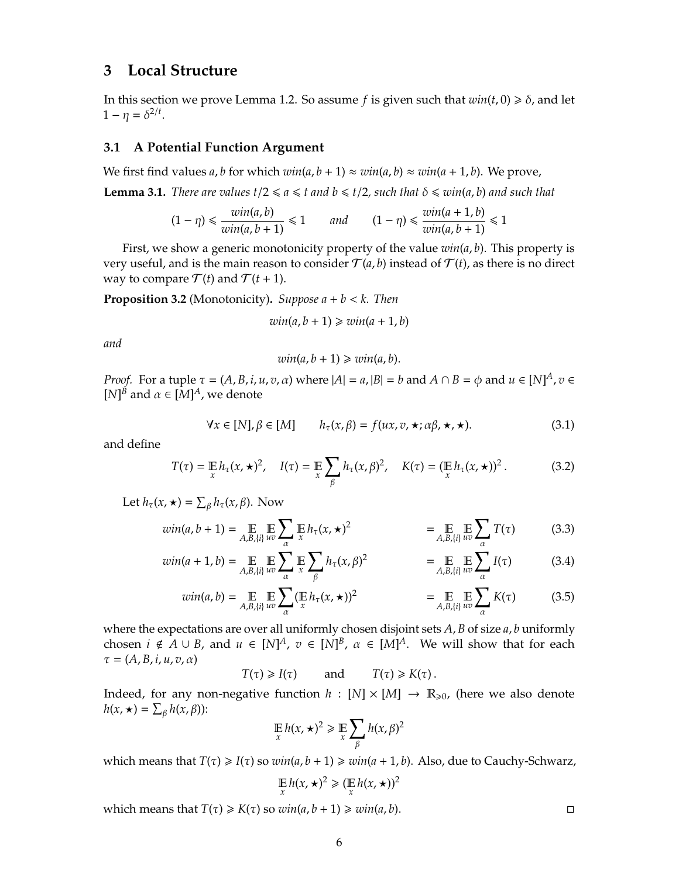### <span id="page-5-0"></span>**3 Local Structure**

In this section we prove [Lemma 1.2.](#page-2-0) So assume *f* is given such that  $win(t, 0) \ge \delta$ , and let 1 –  $\eta = \delta^{2/t}$ .

### **3.1 A Potential Function Argument**

We first find values *a*, *b* for which  $win(a, b + 1) \approx win(a, b) \approx win(a + 1, b)$ . We prove,

<span id="page-5-1"></span>**Lemma 3.1.** *There are values t*/2  $\le a \le t$  *and b*  $\le t/2$ *, such that*  $\delta \le win(a, b)$  *and such that* 

$$
(1 - \eta) \le \frac{win(a, b)}{win(a, b + 1)} \le 1 \qquad and \qquad (1 - \eta) \le \frac{win(a + 1, b)}{win(a, b + 1)} \le 1
$$

First, we show a generic monotonicity property of the value *win*(*a*, *b*). This property is very useful, and is the main reason to consider  $\mathcal{T}(a, b)$  instead of  $\mathcal{T}(t)$ , as there is no direct way to compare  $\mathcal{T}(t)$  and  $\mathcal{T}(t+1)$ .

<span id="page-5-2"></span>**Proposition 3.2** (Monotonicity)**.** *Suppose a* + *b* < *k. Then*

$$
win(a, b + 1) \geq win(a + 1, b)
$$

*and*

$$
win(a, b + 1) \geq win(a, b).
$$

*Proof.* For a tuple  $\tau = (A, B, i, u, v, \alpha)$  where  $|A| = a$ ,  $|B| = b$  and  $A \cap B = \phi$  and  $u \in [N]^A$ ,  $v \in A$ [*N*]<sup>*B*</sup> and  $\alpha \in [M]^A$ , we denote

<span id="page-5-3"></span>
$$
\forall x \in [N], \beta \in [M] \qquad h_{\tau}(x, \beta) = f(ux, v, \star; \alpha\beta, \star, \star). \tag{3.1}
$$

and define

<span id="page-5-4"></span>
$$
T(\tau) = \mathop{\mathbb{E}}_x h_\tau(x, \star)^2, \quad I(\tau) = \mathop{\mathbb{E}}_x \sum_{\beta} h_\tau(x, \beta)^2, \quad K(\tau) = (\mathop{\mathbb{E}}_x h_\tau(x, \star))^2.
$$
 (3.2)

Let  $h_{\tau}(x, \star) = \sum_{\beta} h_{\tau}(x, \beta)$ . Now

$$
win(a, b+1) = \mathop{\mathbb{E}}_{A, B, \{i\}} \mathop{\mathbb{E}}_{uv} \sum_{\alpha} \mathop{\mathbb{E}}_{x} h_{\tau}(x, \star)^2 = \mathop{\mathbb{E}}_{A, B, \{i\}} \mathop{\mathbb{E}}_{uv} \sum_{\alpha} T(\tau) \tag{3.3}
$$

$$
win(a+1,b) = \mathop{\mathbb{E}}_{A,B,\{i\}} \mathop{\mathbb{E}}_{uv} \sum_{\alpha} \mathop{\mathbb{E}}_{x} \sum_{\beta} h_{\tau}(x,\beta)^2 \qquad \qquad = \mathop{\mathbb{E}}_{A,B,\{i\}} \mathop{\mathbb{E}}_{uv} \sum_{\alpha} I(\tau) \qquad (3.4)
$$

$$
win(a,b) = \mathop{\mathbb{E}}_{A,B,\{i\}} \mathop{\mathbb{E}}_{uv} \sum_{\alpha} (\mathop{\mathbb{E}}_{x} h_{\tau}(x,\star))^2 = \mathop{\mathbb{E}}_{A,B,\{i\}} \mathop{\mathbb{E}}_{uv} \sum_{\alpha} K(\tau) \tag{3.5}
$$

where the expectations are over all uniformly chosen disjoint sets *A*, *B* of size *a*, *b* uniformly chosen  $i \notin A \cup B$ , and  $u \in [N]^A$ ,  $v \in [N]^B$ ,  $\alpha \in [M]^A$ . We will show that for each  $\tau = (A, B, i, u, v, \alpha)$ 

 $T(\tau) \geq I(\tau)$  and  $T(\tau) \geq K(\tau)$ .

Indeed, for any non-negative function  $h : [N] \times [M] \rightarrow \mathbb{R}_{\geq 0}$ , (here we also denote  $h(x, \star) = \sum_{\beta} h(x, \beta)$ :

$$
\mathop\mathbb{E}_x h(x,\star)^2 \geq \mathop\mathbb{E}_x \sum_\beta h(x,\beta)^2
$$

which means that  $T(\tau) \geq I(\tau)$  so  $win(a, b + 1) \geq win(a + 1, b)$ . Also, due to Cauchy-Schwarz,

$$
\mathop{\mathbb{E}}_x h(x,\star)^2 \geqslant (\mathop{\mathbb{E}}_x h(x,\star))^2
$$

which means that  $T(\tau) \ge K(\tau)$  so  $win(a, b + 1) \ge win(a, b)$ .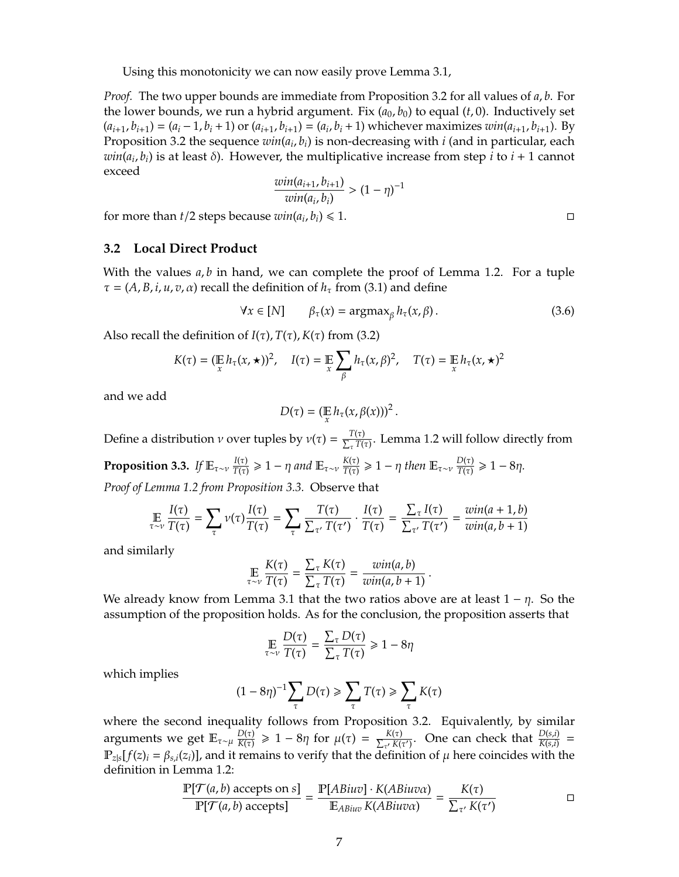Using this monotonicity we can now easily prove [Lemma 3.1,](#page-5-1)

*Proof.* The two upper bounds are immediate from [Proposition 3.2](#page-5-2) for all values of *a*, *b*. For the lower bounds, we run a hybrid argument. Fix  $(a_0, b_0)$  to equal  $(t, 0)$ . Inductively set  $(a_{i+1}, b_{i+1}) = (a_i - 1, b_i + 1)$  or  $(a_{i+1}, b_{i+1}) = (a_i, b_i + 1)$  whichever maximizes  $win(a_{i+1}, b_{i+1})$ . By [Proposition 3.2](#page-5-2) the sequence *win*(*a<sup>i</sup>* , *bi*) is non-decreasing with *i* (and in particular, each *win*(*a<sup>i</sup>* , *bi*) is at least δ). However, the multiplicative increase from step *i* to *i* + 1 cannot exceed

$$
\frac{win(a_{i+1}, b_{i+1})}{win(a_i, b_i)} > (1 - \eta)^{-1}
$$

for more than *t*/2 steps because  $win(a_i, b_i) \le 1$ .

### **3.2 Local Direct Product**

With the values  $a, b$  in hand, we can complete the proof of [Lemma 1.2.](#page-2-0) For a tuple  $\tau = (A, B, i, u, v, \alpha)$  recall the definition of  $h_{\tau}$  from [\(3.1\)](#page-5-3) and define

$$
\forall x \in [N] \qquad \beta_{\tau}(x) = \operatorname{argmax}_{\beta} h_{\tau}(x, \beta). \tag{3.6}
$$

Also recall the definition of  $I(\tau)$ ,  $T(\tau)$ ,  $K(\tau)$  from [\(3.2\)](#page-5-4)

$$
K(\tau) = (\mathop{\mathbb{E}}_{x} h_{\tau}(x, \star))^2, \quad I(\tau) = \mathop{\mathbb{E}}_{x} \sum_{\beta} h_{\tau}(x, \beta)^2, \quad T(\tau) = \mathop{\mathbb{E}}_{x} h_{\tau}(x, \star)^2
$$

and we add

$$
D(\tau)=(\mathop{\mathbb{E}}_{x}h_{\tau}(x,\beta(x)))^{2}.
$$

<span id="page-6-0"></span>Define a distribution *ν* over tuples by  $v(\tau) = \frac{T(\tau)}{\nabla T(\tau)}$  $\frac{T(t)}{\sum_{\tau} T(\tau)}$ . [Lemma 1.2](#page-2-0) will follow directly from **Proposition 3.3.** *If*  $\mathbb{E}_{\tau \sim \nu} \frac{I(\tau)}{T(\tau)}$  $\frac{I(\tau)}{T(\tau)}$  ≥ 1 − η and  $\mathbb{E}_{\tau \sim \nu} \frac{K(\tau)}{T(\tau)}$  $\frac{K(\tau)}{T(\tau)}$  ≥ 1 − η then  $\mathbb{E}_{\tau \sim \nu} \frac{D(\tau)}{T(\tau)}$  $\frac{D(\tau)}{T(\tau)} \geq 1 - 8\eta.$ *Proof of [Lemma 1.2](#page-2-0) from [Proposition 3.3.](#page-6-0)* Observe that

$$
\mathop{\mathbb{E}}_{\tau \sim \nu} \frac{I(\tau)}{T(\tau)} = \sum_{\tau} \nu(\tau) \frac{I(\tau)}{T(\tau)} = \sum_{\tau} \frac{T(\tau)}{\sum_{\tau'} T(\tau')} \cdot \frac{I(\tau)}{T(\tau)} = \frac{\sum_{\tau} I(\tau)}{\sum_{\tau'} T(\tau')} = \frac{win(a+1,b)}{win(a,b+1)}
$$

and similarly

$$
\mathop{\mathbb{E}}_{\tau \sim \nu} \frac{K(\tau)}{T(\tau)} = \frac{\sum_{\tau} K(\tau)}{\sum_{\tau} T(\tau)} = \frac{win(a, b)}{win(a, b + 1)}.
$$

We already know from [Lemma 3.1](#page-5-1) that the two ratios above are at least  $1 - \eta$ . So the assumption of the proposition holds. As for the conclusion, the proposition asserts that

$$
\mathop{\mathbb{E}}_{\tau \sim \nu} \frac{D(\tau)}{T(\tau)} = \frac{\sum_{\tau} D(\tau)}{\sum_{\tau} T(\tau)} \geq 1 - 8\eta
$$

which implies

$$
(1-8\eta)^{-1}\sum_{\tau}D(\tau)\geq \sum_{\tau}T(\tau)\geq \sum_{\tau}K(\tau)
$$

where the second inequality follows from [Proposition 3.2.](#page-5-2) Equivalently, by similar arguments we get Eτ∼<sup>µ</sup> *D*(τ)  $\frac{D(\tau)}{K(\tau)}$  ≥ 1 − 8η for  $\mu(\tau) = \frac{K(\tau)}{\sum_{\tau'} K(\tau)}$  $\frac{K(\tau)}{\sum_{\tau'} K(\tau')}$ . One can check that  $\frac{D(s,i)}{K(s,i)}$  =  $\mathbb{P}_{z|s}[f(z)_i = \beta_{s,i}(z_i)]$ , and it remains to verify that the definition of  $\mu$  here coincides with the definition in [Lemma 1.2:](#page-2-0)

$$
\frac{\mathbb{P}[\mathcal{T}(a,b) \text{ accepts on } s]}{\mathbb{P}[\mathcal{T}(a,b) \text{ accepts}]} = \frac{\mathbb{P}[ABiuv] \cdot K(ABiuv\alpha)}{\mathbb{E}_{ABiuv} K(ABiuv\alpha)} = \frac{K(\tau)}{\sum_{\tau'} K(\tau')} \qquad \Box
$$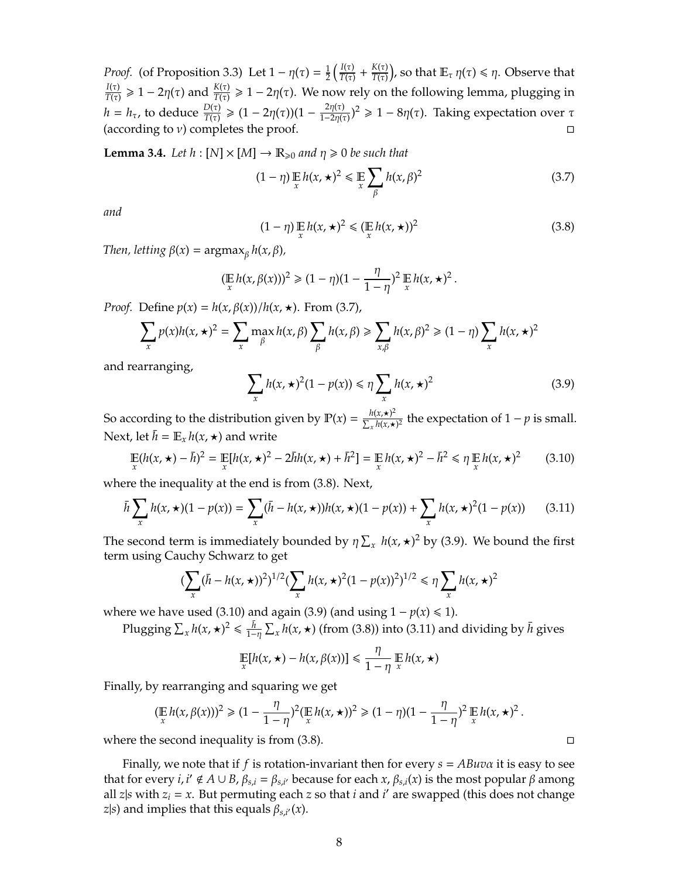*Proof.* (of [Proposition 3.3\)](#page-6-0) Let  $1 - \eta(\tau) = \frac{1}{2}$  $\frac{1}{2}\left(\frac{I(\tau)}{T(\tau)}\right)$  $\frac{I(\tau)}{T(\tau)} + \frac{K(\tau)}{T(\tau)}$  $\frac{K(\tau)}{T(\tau)}$ ), so that  $\mathbb{E}_{\tau} \, \eta(\tau) \leqslant \eta.$  Observe that *I*(τ)  $\frac{I(\tau)}{T(\tau)} \geq 1 - 2\eta(\tau)$  and  $\frac{K(\tau)}{T(\tau)} \geq 1 - 2\eta(\tau)$ . We now rely on the following lemma, plugging in *h* = *h*<sub>τ</sub>, to deduce  $\frac{D(\tau)}{T(\tau)}$  ≥ (1 − 2η(τ))(1 −  $\frac{2\eta(\tau)}{1-2\eta(\tau)}$ )<sup>2</sup> ≥ 1 − 8η(τ). Taking expectation over τ (according to  $\nu$ ) completes the proof.

**Lemma 3.4.** *Let h* : [N]  $\times$  [M]  $\rightarrow$  R<sub> $\geq$ 0 *and*  $\eta \geq 0$  *be such that*</sub>

<span id="page-7-0"></span>
$$
(1 - \eta) \mathop{\mathbb{E}}_{x} h(x, \star)^2 \leq \mathop{\mathbb{E}}_{x} \sum_{\beta} h(x, \beta)^2
$$
 (3.7)

*and*

<span id="page-7-1"></span>
$$
(1 - \eta) \mathop{\mathbb{E}}_{x} h(x, \star)^2 \le (\mathop{\mathbb{E}}_{x} h(x, \star))^2
$$
\n(3.8)

*Then, letting β(x)* =  $\text{argmax}_{\beta} h(x, \beta)$ *,* 

$$
(\mathop{\mathbb{E}}_x h(x,\beta(x)))^2 \geq (1-\eta)(1-\frac{\eta}{1-\eta})^2 \mathop{\mathbb{E}}_x h(x,\star)^2.
$$

*Proof.* Define  $p(x) = h(x, \beta(x))/h(x, \star)$ . From [\(3.7\),](#page-7-0)

$$
\sum_{x} p(x)h(x,\star)^2 = \sum_{x} \max_{\beta} h(x,\beta) \sum_{\beta} h(x,\beta) \ge \sum_{x,\beta} h(x,\beta)^2 \ge (1-\eta) \sum_{x} h(x,\star)^2
$$

and rearranging,

<span id="page-7-2"></span>
$$
\sum_{x} h(x, \star)^2 (1 - p(x)) \le \eta \sum_{x} h(x, \star)^2 \tag{3.9}
$$

So according to the distribution given by  $\mathbb{P}(x) = \frac{h(x, \star)^2}{\sum h(x, \star)}$  $\frac{h(x, \star)^2}{\sum_{x} h(x, \star)^2}$  the expectation of 1 − *p* is small. Next, let  $\bar{h} = \mathbb{E}_x h(x, \star)$  and write

<span id="page-7-3"></span>
$$
\mathbb{E}\left(h(x,\star)-\bar{h}\right)^2 = \mathbb{E}\left[h(x,\star)^2 - 2\bar{h}h(x,\star) + \bar{h}^2\right] = \mathbb{E}\left[h(x,\star)^2 - \bar{h}^2\leq \eta\mathbb{E}\left[h(x,\star)^2\right] \right] \tag{3.10}
$$

where the inequality at the end is from [\(3.8\).](#page-7-1) Next,

<span id="page-7-4"></span>
$$
\bar{h} \sum_{x} h(x, \star)(1 - p(x)) = \sum_{x} (\bar{h} - h(x, \star))h(x, \star)(1 - p(x)) + \sum_{x} h(x, \star)^2(1 - p(x)) \tag{3.11}
$$

The second term is immediately bounded by  $\eta \sum_{x} h(x, \star)^2$  by [\(3.9\).](#page-7-2) We bound the first term using Cauchy Schwarz to get

$$
\left(\sum_{x}(\bar{h}-h(x,\star))^2\right)^{1/2}\left(\sum_{x}h(x,\star)^2(1-p(x))^2\right)^{1/2}\leq \eta\sum_{x}h(x,\star)^2
$$

where we have used [\(3.10\)](#page-7-3) and again [\(3.9\)](#page-7-2) (and using  $1 - p(x) \le 1$ ).

Plugging  $\sum_x h(x, \star)^2 \leq \frac{\bar{h}}{1-\eta} \sum_x h(x, \star)$  (from [\(3.8\)\)](#page-7-1) into [\(3.11\)](#page-7-4) and dividing by  $\bar{h}$  gives

$$
\mathop{\mathbb{E}}_x[h(x,\star)-h(x,\beta(x))] \leq \frac{\eta}{1-\eta}\mathop{\mathbb{E}}_xh(x,\star)
$$

Finally, by rearranging and squaring we get

$$
(\mathop\mathbb{E}_x h(x,\beta(x)))^2 \geq (1-\frac{\eta}{1-\eta})^2(\mathop\mathbb{E}_x h(x,\star))^2 \geq (1-\eta)(1-\frac{\eta}{1-\eta})^2\mathop\mathbb{E}_x h(x,\star)^2.
$$

where the second inequality is from  $(3.8)$ .

Finally, we note that if *f* is rotation-invariant then for every *s* = *ABuv*α it is easy to see that for every *i*,  $i' \notin A \cup B$ ,  $\beta_{s,i} = \beta_{s,i'}$  because for each  $x$ ,  $\beta_{s,i}(x)$  is the most popular  $\beta$  among all *z*|s with  $z_i = x$ . But permuting each *z* so that *i* and *i*' are swapped (this does not change *z*|*s*) and implies that this equals  $\beta_{s,i'}(x)$ .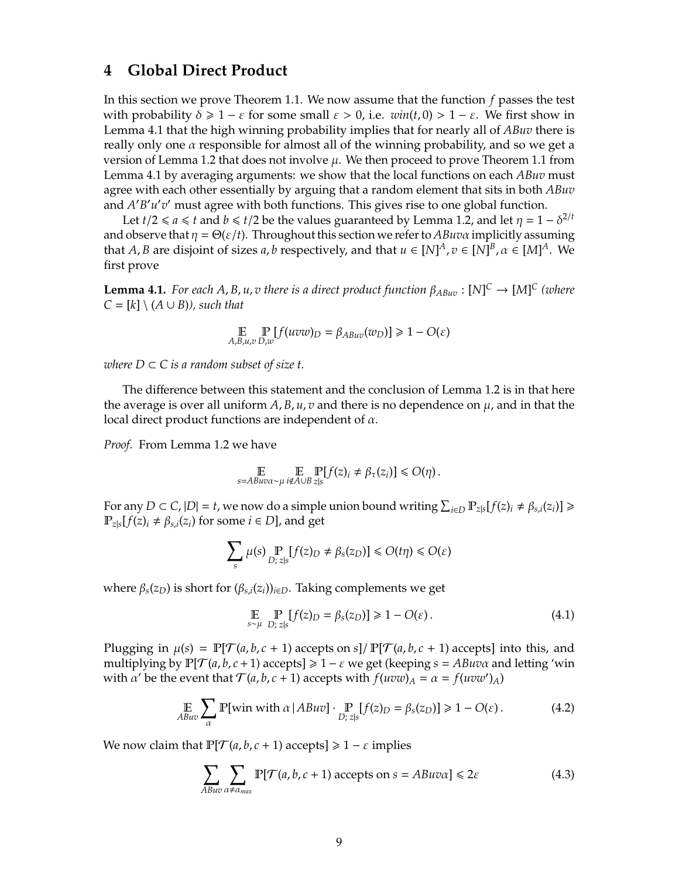# <span id="page-8-0"></span>**4 Global Direct Product**

In this section we prove [Theorem 1.1.](#page-1-2) We now assume that the function *f* passes the test with probability  $\delta \geq 1 - \varepsilon$  for some small  $\varepsilon > 0$ , i.e.  $win(t, 0) > 1 - \varepsilon$ . We first show in [Lemma 4.1](#page-8-1) that the high winning probability implies that for nearly all of *ABuv* there is really only one  $\alpha$  responsible for almost all of the winning probability, and so we get a version of [Lemma 1.2](#page-2-0) that does not involve  $\mu$ . We then proceed to prove [Theorem 1.1](#page-1-2) from [Lemma 4.1](#page-8-1) by averaging arguments: we show that the local functions on each *ABuv* must agree with each other essentially by arguing that a random element that sits in both *ABuv* and *A'B'u'v'* must agree with both functions. This gives rise to one global function.

Let *t*/2  $\le a \le t$  and *b*  $\le t/2$  be the values guaranteed by [Lemma 1.2,](#page-2-0) and let  $\eta = 1 - \delta^{2/t}$ and observe that  $\eta = \Theta(\varepsilon/t)$ . Throughout this section we refer to *ABuva* implicitly assuming that *A*, *B* are disjoint of sizes *a*, *b* respectively, and that  $u \in [N]^A$ ,  $v \in [N]^B$ ,  $\alpha \in [M]^A$ . We first prove

<span id="page-8-1"></span>**Lemma 4.1.** *For each A, B, u, v there is a direct product function*  $\beta_{ABuv} : [N]^C \to [M]^C$  *(where*  $C = [k] \setminus (A \cup B)$ *), such that* 

$$
\mathop{\mathbb{E}}_{A,B,u,v}\mathop{\mathbb{P}}_{D,w}[f(uvw)_D = \beta_{ABuv}(w_D)] \ge 1 - O(\varepsilon)
$$

*where*  $D \subset C$  *is a random subset of size t.* 

The difference between this statement and the conclusion of [Lemma 1.2](#page-2-0) is in that here the average is over all uniform  $A$ ,  $B$ ,  $u$ ,  $v$  and there is no dependence on  $\mu$ , and in that the local direct product functions are independent of  $\alpha$ .

*Proof.* From [Lemma 1.2](#page-2-0) we have

$$
\mathop{\mathbb{E}}_{s=ABu\sigma\sim\mu}\mathop{\mathbb{E}}_{i\notin A\cup B}\mathop{\mathbb{P}}_{z|s}[f(z)_i\neq \beta_\tau(z_i)]\leq O(\eta)\,.
$$

For any  $D \subset C$ ,  $|D| = t$ , we now do a simple union bound writing  $\sum_{i \in D} P_{z|s}[f(z)_i \neq \beta_{s,i}(z_i)] \geq$  $\mathbb{P}_{z|s}[f(z)_i \neq \beta_{s,i}(z_i) \text{ for some } i \in D]$ , and get

$$
\sum_{s}\mu(s)\Pr_{D;\,z|s}[f(z)_D\neq\beta_s(z_D)]\leq O(t\eta)\leq O(\varepsilon)
$$

where  $β_s(z_D)$  is short for  $(β_{s,i}(z_i))_{i \in D}$ . Taking complements we get

$$
\mathop{\mathbb{E}}_{s \sim \mu} \mathop{\mathbb{P}}_{D; z|s} [f(z)_D = \beta_s(z_D)] \geq 1 - O(\varepsilon).
$$
 (4.1)

Plugging in  $\mu(s) = \mathbb{P}[\mathcal{T}(a, b, c + 1)$  accepts on  $s]/\mathbb{P}[\mathcal{T}(a, b, c + 1)$  accepts] into this, and multiplying by  $\mathbb{P}[\mathcal{T}(a, b, c+1) \text{ accepts}] \geq 1 - \varepsilon$  we get (keeping  $s = ABuv\alpha$  and letting 'win with  $\alpha'$  be the event that  $\mathcal{T}(a, b, c + 1)$  accepts with  $f(uvw)_A = \alpha = f(uvw')_A$ 

<span id="page-8-3"></span>
$$
\mathop{\mathbb{E}}_{ABuv} \sum_{\alpha} \mathbb{P}[\text{win with } \alpha \mid ABuv] \cdot \mathop{\mathbb{P}}_{D; z \mid s} [f(z)_D = \beta_s(z_D)] \ge 1 - O(\varepsilon). \tag{4.2}
$$

We now claim that  $\mathbb{P}[\mathcal{T}(a, b, c+1) \text{ accepts}] \geq 1 - \varepsilon$  implies

<span id="page-8-2"></span>
$$
\sum_{ABuv} \sum_{\alpha \neq \alpha_{max}} \mathbb{P}[\mathcal{T}(a, b, c+1) \text{ accepts on } s = ABuv\alpha] \leq 2\varepsilon \tag{4.3}
$$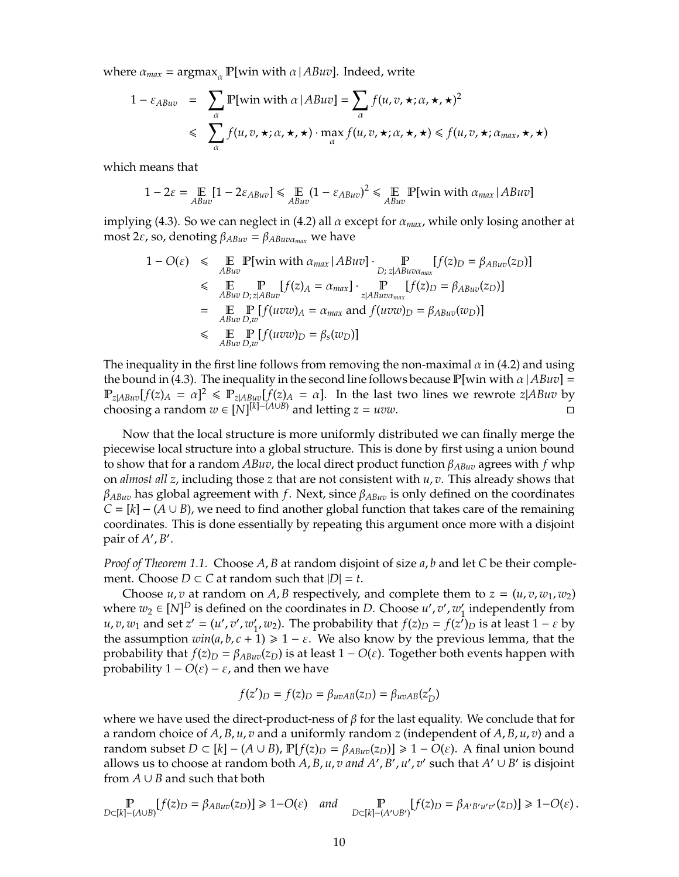where  $\alpha_{max} = \text{argmax}_{\alpha} \mathbb{P}[\text{win with } \alpha | ABuv]$ . Indeed, write

$$
1 - \varepsilon_{ABuv} = \sum_{\alpha} \mathbb{P}[\text{win with } \alpha | ABuv] = \sum_{\alpha} f(u, v, \star; \alpha, \star, \star)^2
$$
  
\$\leqslant \sum\_{\alpha} f(u, v, \star; \alpha, \star, \star) \cdot \max\_{\alpha} f(u, v, \star; \alpha, \star, \star) \leqslant f(u, v, \star; \alpha\_{max}, \star, \star)

which means that

$$
1 - 2\varepsilon = \mathop{\mathbb{E}}_{ABuv} [1 - 2\varepsilon_{ABuv}] \le \mathop{\mathbb{E}}_{ABuv} (1 - \varepsilon_{ABuv})^2 \le \mathop{\mathbb{E}}_{ABuv} \mathbb{P}[\text{win with } \alpha_{max} | ABuv]
$$

implying [\(4.3\).](#page-8-2) So we can neglect in [\(4.2\)](#page-8-3) all  $\alpha$  except for  $\alpha_{max}$ , while only losing another at most 2ε, so, denoting  $β_{ABuv} = β_{ABuvα_{max}}$  we have

$$
1 - O(\varepsilon) \leq E \underset{ABuv}{\mathbb{E}} \mathbb{P}[\text{win with } \alpha_{max} | ABuv] \cdot \underset{D; z|ABuv\alpha_{max}}{\mathbb{P}} [f(z)_D = \beta_{ABuv}(z_D)]
$$
  
\n
$$
\leq E \underset{ABuv}{\mathbb{E}} \mathbb{P} [f(z)_A = \alpha_{max}] \cdot \underset{z|ABuv\alpha_{max}}{\mathbb{P}} [f(z)_D = \beta_{ABuv}(z_D)]
$$
  
\n
$$
= E \underset{ABuv}{\mathbb{E}} \mathbb{P} [f(uvw)_A = \alpha_{max} \text{ and } f(uvw)_D = \beta_{ABuv}(w_D)]
$$
  
\n
$$
\leq E \underset{ABuv}{\mathbb{E}} \mathbb{P} [f(uvw)_D = \beta_s(w_D)]
$$

The inequality in the first line follows from removing the non-maximal  $\alpha$  in [\(4.2\)](#page-8-3) and using the bound in [\(4.3\).](#page-8-2) The inequality in the second line follows because  $\mathbb{P}[\text{win with } \alpha | ABuv] =$  $\mathbb{P}_{z|ABuv}[f(z)_A = \alpha]^2 \le \mathbb{P}_{z|ABuv}[f(z)_A = \alpha]$ . In the last two lines we rewrote  $z|ABuv$  by choosing a random  $w \in [N]^{[k]- (A \cup B)}$  and letting  $z = uvw$ .

Now that the local structure is more uniformly distributed we can finally merge the piecewise local structure into a global structure. This is done by first using a union bound to show that for a random *ABuv*, the local direct product function β*ABuv* agrees with *f* whp on *almost all z*, including those *z* that are not consistent with *u*, *v*. This already shows that β*ABuv* has global agreement with *f*. Next, since β*ABuv* is only defined on the coordinates  $C = [k] - (A \cup B)$ , we need to find another global function that takes care of the remaining coordinates. This is done essentially by repeating this argument once more with a disjoint pair of *A'*, *B'*.

*Proof of [Theorem 1.1.](#page-1-2)* Choose *A*, *B* at random disjoint of size *a*, *b* and let *C* be their complement. Choose  $D \subset C$  at random such that  $|D| = t$ .

Choose *u*, *v* at random on *A*, *B* respectively, and complete them to  $z = (u, v, w_1, w_2)$ where  $w_2 \in [N]^D$  is defined on the coordinates in *D*. Choose  $u', v', w'_1$  $\frac{1}{1}$  independently from *u*, *v*, *w*<sub>1</sub> and set *z*<sup> $\prime$ </sup> = (*u*<sup> $\prime$ </sup>, *v*<sup> $\prime$ </sup><sub>1</sub>  $'$ <sub>1</sub>, *w*<sub>2</sub>). The probability that *f*(*z*)*D* = *f*(*z*<sup> $'$ </sup>)*D* is at least 1 − *ε* by the assumption  $win(a, b, c + 1) \geq 1 - \varepsilon$ . We also know by the previous lemma, that the probability that  $f(z)$ *D* =  $\beta_{ABuv}(z)$  is at least 1 – *O*( $\varepsilon$ ). Together both events happen with probability  $1 - O(ε) - ε$ , and then we have

$$
f(z')_D = f(z)_D = \beta_{uvAB}(z_D) = \beta_{uvAB}(z'_D)
$$

where we have used the direct-product-ness of  $\beta$  for the last equality. We conclude that for a random choice of *A*, *B*, *u*, *v* and a uniformly random *z* (independent of *A*, *B*, *u*, *v*) and a random subset  $D \subset [k] - (A \cup B)$ ,  $\mathbb{P}[f(z)_D = \beta_{ABuv}(z_D)] \geq 1 - O(\varepsilon)$ . A final union bound allows us to choose at random both  $A$ ,  $B$ ,  $u$ ,  $v$  and  $A'$ ,  $B'$ ,  $u'$ ,  $v'$  such that  $A' \cup B'$  is disjoint from  $A \cup B$  and such that both

P  $\mathbb{P}_{D\subset[k]- (A\cup B)}[f(z)_D = \beta_{ABuv}(z_D)] \geq 1 - O(\varepsilon) \quad and \quad \mathbb{P}_{D\subset[k]- (A'\cup B')}[f(z)_D = \beta_{A'B'u'v'}(z_D)] \geq 1 - O(\varepsilon) \,.$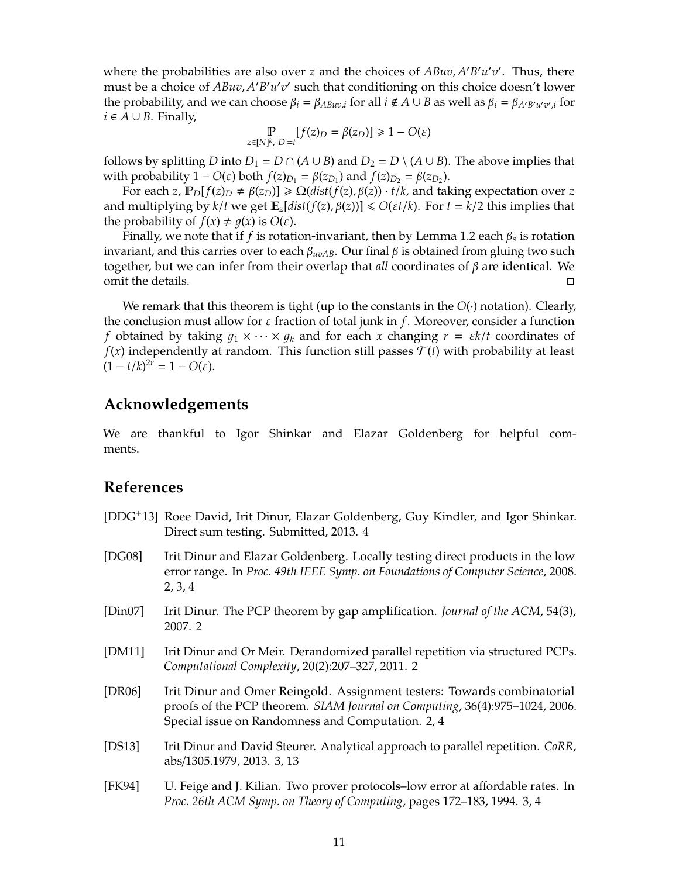where the probabilities are also over *z* and the choices of  $ABuv$ ,  $A'B'u'v'$ . Thus, there must be a choice of *ABuv*, *A'B'u'v'* such that conditioning on this choice doesn't lower the probability, and we can choose  $\beta_i = \beta_{ABuv,i}$  for all  $i \notin A \cup B$  as well as  $\beta_i = \beta_{A'B'u'v',i}$  for *i* ∈ *A* ∪ *B*. Finally,

$$
\mathop{\mathbb{P}}_{z \in [N]^k, \, |D| = t} [f(z)_D = \beta(z_D)] \geq 1 - O(\varepsilon)
$$

follows by splitting *D* into  $D_1 = D \cap (A \cup B)$  and  $D_2 = D \setminus (A \cup B)$ . The above implies that with probability 1 − *O*(*ε*) both  $f(z)_{D_1} = β(z_{D_1})$  and  $f(z)_{D_2} = β(z_{D_2})$ .

For each *z*,  $\mathbb{P}_D[f(z)_D \neq \beta(z_D)] \geq \Omega(dist(f(z), \beta(z)) \cdot t/k$ , and taking expectation over *z* and multiplying by  $k/t$  we get  $\mathbb{E}_z[dist(f(z), \beta(z))] \le O(\varepsilon t/k)$ . For  $t = k/2$  this implies that the probability of  $f(x) \neq g(x)$  is  $O(\varepsilon)$ .

Finally, we note that if *f* is rotation-invariant, then by [Lemma 1.2](#page-2-0) each β*<sup>s</sup>* is rotation invariant, and this carries over to each  $\beta_{uvAB}$ . Our final  $\beta$  is obtained from gluing two such together, but we can infer from their overlap that *all* coordinates of β are identical. We omit the details.

We remark that this theorem is tight (up to the constants in the  $O(·)$  notation). Clearly, the conclusion must allow for  $\varepsilon$  fraction of total junk in *f*. Moreover, consider a function *f* obtained by taking  $q_1 \times \cdots \times q_k$  and for each *x* changing  $r = \varepsilon k/t$  coordinates of  $f(x)$  independently at random. This function still passes  $\mathcal{T}(t)$  with probability at least  $(1 - t/k)^{2r} = 1 - O(\varepsilon).$ 

### **Acknowledgements**

We are thankful to Igor Shinkar and Elazar Goldenberg for helpful comments.

### **References**

- <span id="page-10-6"></span>[DDG+13] Roee David, Irit Dinur, Elazar Goldenberg, Guy Kindler, and Igor Shinkar. Direct sum testing. Submitted, 2013. [4](#page-3-1)
- <span id="page-10-3"></span>[DG08] Irit Dinur and Elazar Goldenberg. Locally testing direct products in the low error range. In *Proc. 49th IEEE Symp. on Foundations of Computer Science*, 2008. [2,](#page-1-3) [3,](#page-2-1) [4](#page-3-1)
- <span id="page-10-0"></span>[Din07] Irit Dinur. The PCP theorem by gap amplification. *Journal of the ACM*, 54(3), 2007. [2](#page-1-3)
- <span id="page-10-2"></span>[DM11] Irit Dinur and Or Meir. Derandomized parallel repetition via structured PCPs. *Computational Complexity*, 20(2):207–327, 2011. [2](#page-1-3)
- <span id="page-10-1"></span>[DR06] Irit Dinur and Omer Reingold. Assignment testers: Towards combinatorial proofs of the PCP theorem. *SIAM Journal on Computing*, 36(4):975–1024, 2006. Special issue on Randomness and Computation. [2,](#page-1-3) [4](#page-3-1)
- <span id="page-10-4"></span>[DS13] Irit Dinur and David Steurer. Analytical approach to parallel repetition. *CoRR*, abs/1305.1979, 2013. [3,](#page-2-1) [13](#page-12-1)
- <span id="page-10-5"></span>[FK94] U. Feige and J. Kilian. Two prover protocols–low error at affordable rates. In *Proc. 26th ACM Symp. on Theory of Computing*, pages 172–183, 1994. [3,](#page-2-1) [4](#page-3-1)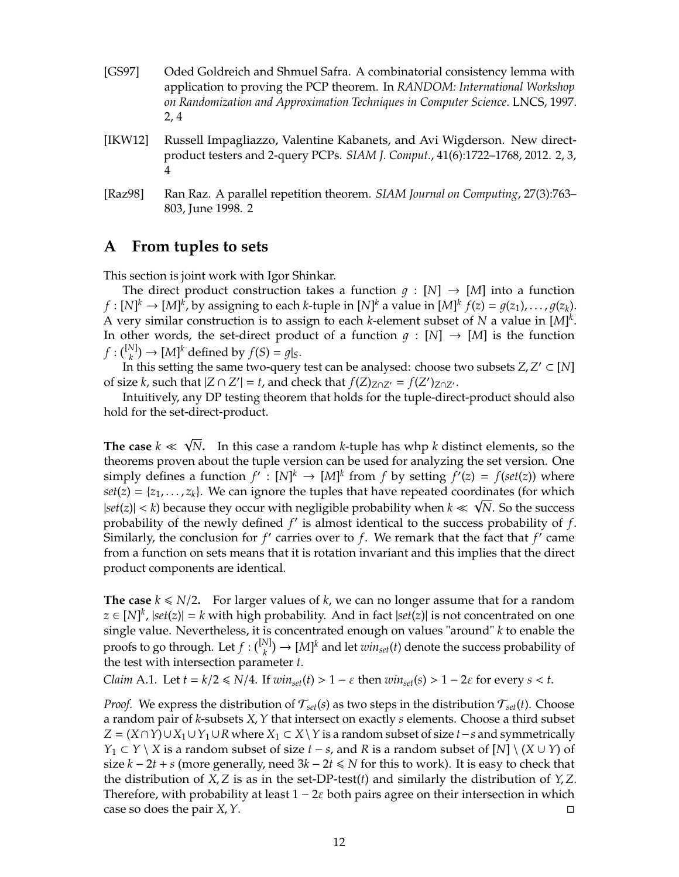- <span id="page-11-2"></span>[GS97] Oded Goldreich and Shmuel Safra. A combinatorial consistency lemma with application to proving the PCP theorem. In *RANDOM: International Workshop on Randomization and Approximation Techniques in Computer Science*. LNCS, 1997. [2,](#page-1-3) [4](#page-3-1)
- <span id="page-11-1"></span>[IKW12] Russell Impagliazzo, Valentine Kabanets, and Avi Wigderson. New directproduct testers and 2-query PCPs. *SIAM J. Comput.*, 41(6):1722–1768, 2012. [2,](#page-1-3) [3,](#page-2-1) [4](#page-3-1)
- <span id="page-11-0"></span>[Raz98] Ran Raz. A parallel repetition theorem. *SIAM Journal on Computing*, 27(3):763– 803, June 1998. [2](#page-1-3)

# <span id="page-11-3"></span>**A From tuples to sets**

This section is joint work with Igor Shinkar.

The direct product construction takes a function  $q : [N] \rightarrow [M]$  into a function  $f:[N]^k\to [M]^k$ , by assigning to each *k*-tuple in  $[N]^k$  a value in  $[M]^k$   $f(z)=g(z_1),\ldots,g(z_k).$ A very similar construction is to assign to each *k*-element subset of *N* a value in [*M*] *k* . In other words, the set-direct product of a function  $q : [N] \rightarrow [M]$  is the function  $f: \binom{[N]}{k} \to [M]^k$  defined by  $f(S) = g|_S$ .

In this setting the same two-query test can be analysed: choose two subsets  $Z, Z' \subset [N]$ of size *k*, such that  $|Z \cap Z'| = t$ , and check that  $f(Z)_{Z \cap Z'} = f(Z')_{Z \cap Z'}$ .

Intuitively, any DP testing theorem that holds for the tuple-direct-product should also hold for the set-direct-product.

**The case**  $k \ll \sqrt{N}$ . In this case a random *k*-tuple has whp *k* distinct elements, so the √ theorems proven about the tuple version can be used for analyzing the set version. One simply defines a function  $f' : [N]^k \to [M]^k$  from *f* by setting  $f'(z) = f(st(z))$  where  $set(z) = \{z_1, \ldots, z_k\}$ . We can ignore the tuples that have repeated coordinates (for which  $|set(z)| < k$ ) because they occur with negligible probability when  $k \ll \sqrt{N}$ . So the success probability of the newly defined  $f'$  is almost identical to the success probability of  $f$ . Similarly, the conclusion for *f'* carries over to *f*. We remark that the fact that *f'* came from a function on sets means that it is rotation invariant and this implies that the direct product components are identical.

**The case**  $k \le N/2$ . For larger values of  $k$ , we can no longer assume that for a random *z* ∈  $[N]$ <sup>*k*</sup>,  $|set(z)| = k$  with high probability. And in fact  $|set(z)|$  is not concentrated on one single value. Nevertheless, it is concentrated enough on values "around" *k* to enable the proofs to go through. Let  $f: \binom{[N]}{k} \to [M]^k$  and let  $win_{set}(t)$  denote the success probability of the test with intersection parameter *t*.

*Claim* A.1. Let  $t = k/2 \le N/4$ . If  $win_{set}(t) > 1 - \varepsilon$  then  $win_{set}(s) > 1 - 2\varepsilon$  for every  $s < t$ .

*Proof.* We express the distribution of  $\mathcal{T}_{set}(s)$  as two steps in the distribution  $\mathcal{T}_{set}(t)$ . Choose a random pair of *k*-subsets *X*,*Y* that intersect on exactly *s* elements. Choose a third subset *Z* =  $(X \cap Y) \cup X_1 \cup Y_1 \cup R$  where  $X_1 \subset X \setminus Y$  is a random subset of size *t* − *s* and symmetrically *Y*<sub>1</sub> ⊂ *Y* \ *X* is a random subset of size *t* − *s*, and *R* is a random subset of [*N*] \ (*X* ∪ *Y*) of size  $k - 2t + s$  (more generally, need  $3k - 2t \le N$  for this to work). It is easy to check that the distribution of  $X$ ,  $Z$  is as in the set-DP-test(*t*) and similarly the distribution of  $Y$ ,  $Z$ . Therefore, with probability at least  $1 - 2\varepsilon$  both pairs agree on their intersection in which case so does the pair *X*, *Y*.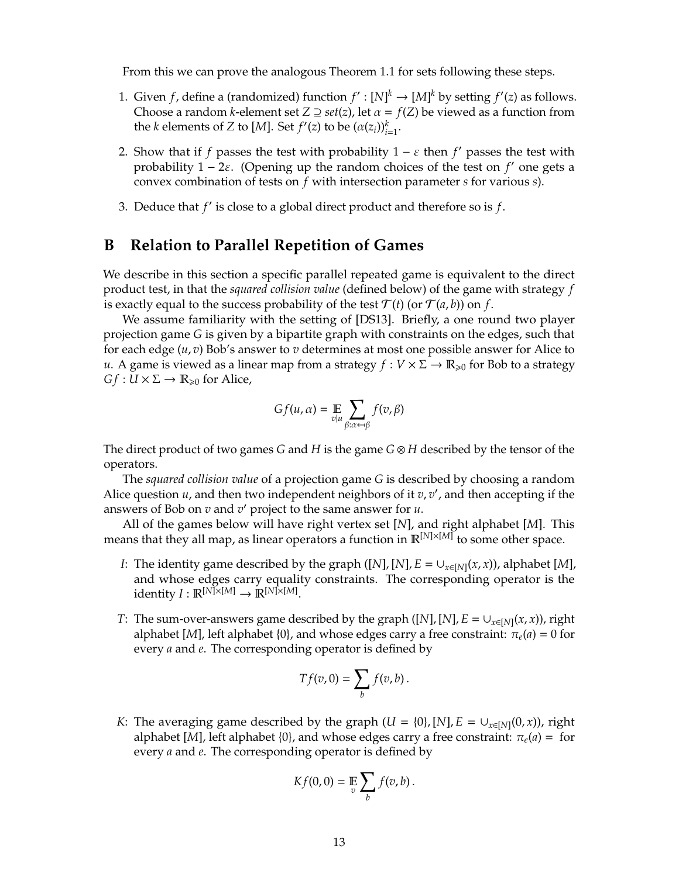<span id="page-12-1"></span>From this we can prove the analogous [Theorem 1.1](#page-1-2) for sets following these steps.

- 1. Given *f*, define a (randomized) function  $f': [N]^k \to [M]^k$  by setting  $f'(z)$  as follows. Choose a random *k*-element set  $Z \supseteq set(z)$ , let  $\alpha = f(Z)$  be viewed as a function from the *k* elements of *Z* to [*M*]. Set  $f'(z)$  to be  $(\alpha(z_i))_{i=1}^k$ .
- 2. Show that if *f* passes the test with probability  $1 \varepsilon$  then *f'* passes the test with probability  $1 - 2\varepsilon$ . (Opening up the random choices of the test on *f'* one gets a convex combination of tests on *f* with intersection parameter *s* for various *s*).
- 3. Deduce that  $f'$  is close to a global direct product and therefore so is  $f$ .

# <span id="page-12-0"></span>**B Relation to Parallel Repetition of Games**

We describe in this section a specific parallel repeated game is equivalent to the direct product test, in that the *squared collision value* (defined below) of the game with strategy *f* is exactly equal to the success probability of the test  $\mathcal{T}(t)$  (or  $\mathcal{T}(a, b)$ ) on *f*.

We assume familiarity with the setting of [\[DS13\]](#page-10-4). Briefly, a one round two player projection game *G* is given by a bipartite graph with constraints on the edges, such that for each edge (*u*, *v*) Bob's answer to *v* determines at most one possible answer for Alice to *u*. A game is viewed as a linear map from a strategy  $f: V \times \Sigma \rightarrow \mathbb{R}_{\geq 0}$  for Bob to a strategy  $Gf: U \times \Sigma \rightarrow \mathbb{R}_{\geqslant 0}$  for Alice,

$$
Gf(u, \alpha) = \mathop{\mathbb{E}}_{v|u} \sum_{\beta: \alpha \leftarrow \beta} f(v, \beta)
$$

The direct product of two games *G* and *H* is the game *G* ⊗ *H* described by the tensor of the operators.

The *squared collision value* of a projection game *G* is described by choosing a random Alice question  $u$ , and then two independent neighbors of it  $v$ ,  $v'$ , and then accepting if the answers of Bob on  $v$  and  $v'$  project to the same answer for  $u$ .

All of the games below will have right vertex set [*N*], and right alphabet [*M*]. This means that they all map, as linear operators a function in R[*N*]×[*M*] to some other space.

- *I*: The identity game described by the graph ([*N*], [*N*],  $E = \cup_{x \in [N]} (x, x)$ ), alphabet [*M*], and whose edges carry equality constraints. The corresponding operator is the identity  $I : \mathbb{R}^{[N] \times [M]} \rightarrow \mathbb{R}^{[N] \times [M]}$ .
- *T*: The sum-over-answers game described by the graph ([*N*], [*N*],  $E = \bigcup_{x \in [N]} (x, x)$ ), right alphabet [*M*], left alphabet {0}, and whose edges carry a free constraint:  $\pi_e(a) = 0$  for every *a* and *e*. The corresponding operator is defined by

$$
Tf(v,0)=\sum_{b}f(v,b).
$$

*K*: The averaging game described by the graph  $(U = \{0\}, [N], E = \bigcup_{x \in [N]} (0, x))$ , right alphabet [*M*], left alphabet {0}, and whose edges carry a free constraint:  $\pi_e(a) =$  for every *a* and *e*. The corresponding operator is defined by

$$
Kf(0,0)=\mathop{\mathbb{E}}\limits_v\sum_b f(v,b)\,.
$$